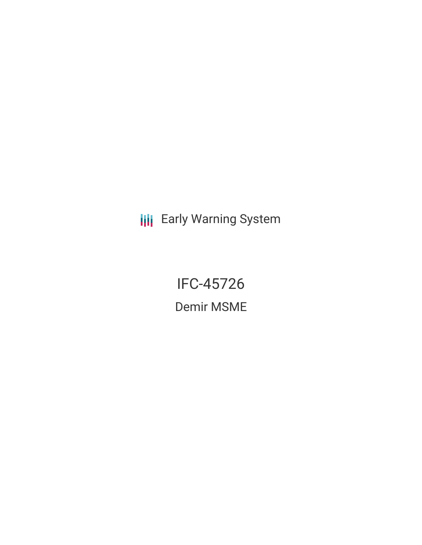**III** Early Warning System

IFC-45726 Demir MSME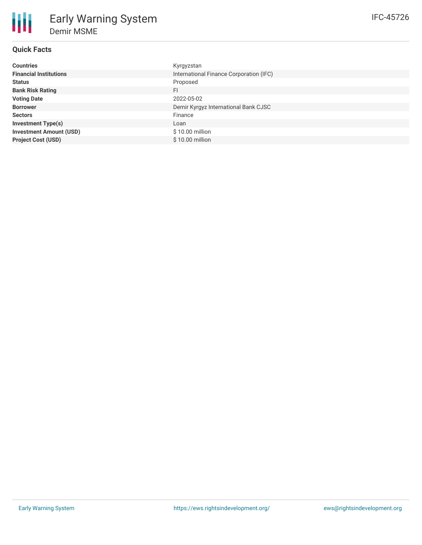| <b>Countries</b>               | Kyrgyzstan                              |
|--------------------------------|-----------------------------------------|
| <b>Financial Institutions</b>  | International Finance Corporation (IFC) |
| <b>Status</b>                  | Proposed                                |
| <b>Bank Risk Rating</b>        | FI                                      |
| <b>Voting Date</b>             | 2022-05-02                              |
| <b>Borrower</b>                | Demir Kyrgyz International Bank CJSC    |
| <b>Sectors</b>                 | Finance                                 |
| <b>Investment Type(s)</b>      | Loan                                    |
| <b>Investment Amount (USD)</b> | \$10.00 million                         |
| <b>Project Cost (USD)</b>      | $$10.00$ million                        |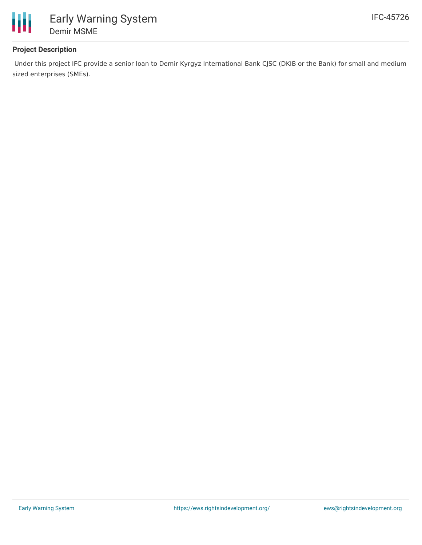

## **Project Description**

Under this project IFC provide a senior loan to Demir Kyrgyz International Bank CJSC (DKIB or the Bank) for small and medium sized enterprises (SMEs).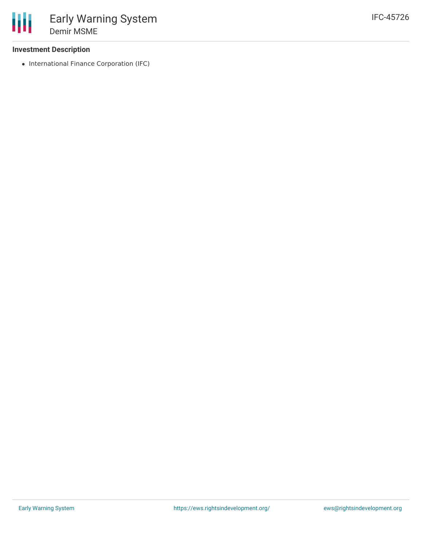### **Investment Description**

• International Finance Corporation (IFC)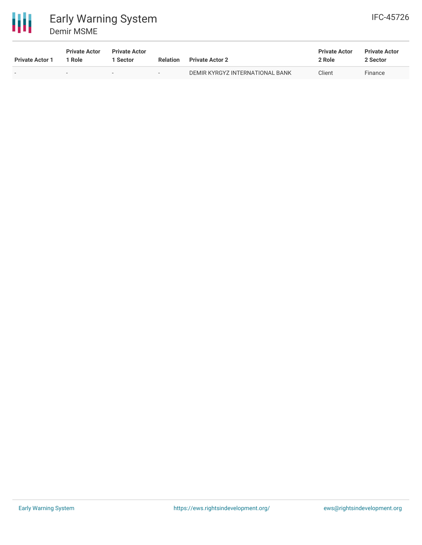

| <b>Private Actor 1</b> | <b>Private Actor</b><br>Role | <b>Private Actor</b><br>1 Sector | <b>Relation</b>          | <b>Private Actor 2</b>          | <b>Private Actor</b><br>2 Role | <b>Private Actor</b><br>2 Sector |
|------------------------|------------------------------|----------------------------------|--------------------------|---------------------------------|--------------------------------|----------------------------------|
|                        |                              | $\overline{\phantom{a}}$         | $\overline{\phantom{0}}$ | DEMIR KYRGYZ INTERNATIONAL BANK | Client                         | Finance                          |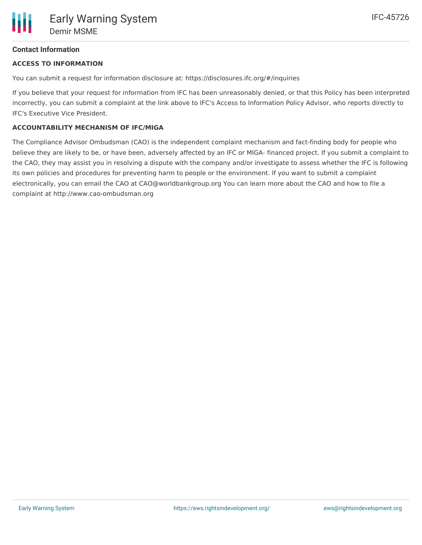# **Contact Information**

#### **ACCESS TO INFORMATION**

You can submit a request for information disclosure at: https://disclosures.ifc.org/#/inquiries

If you believe that your request for information from IFC has been unreasonably denied, or that this Policy has been interpreted incorrectly, you can submit a complaint at the link above to IFC's Access to Information Policy Advisor, who reports directly to IFC's Executive Vice President.

#### **ACCOUNTABILITY MECHANISM OF IFC/MIGA**

The Compliance Advisor Ombudsman (CAO) is the independent complaint mechanism and fact-finding body for people who believe they are likely to be, or have been, adversely affected by an IFC or MIGA- financed project. If you submit a complaint to the CAO, they may assist you in resolving a dispute with the company and/or investigate to assess whether the IFC is following its own policies and procedures for preventing harm to people or the environment. If you want to submit a complaint electronically, you can email the CAO at CAO@worldbankgroup.org You can learn more about the CAO and how to file a complaint at http://www.cao-ombudsman.org